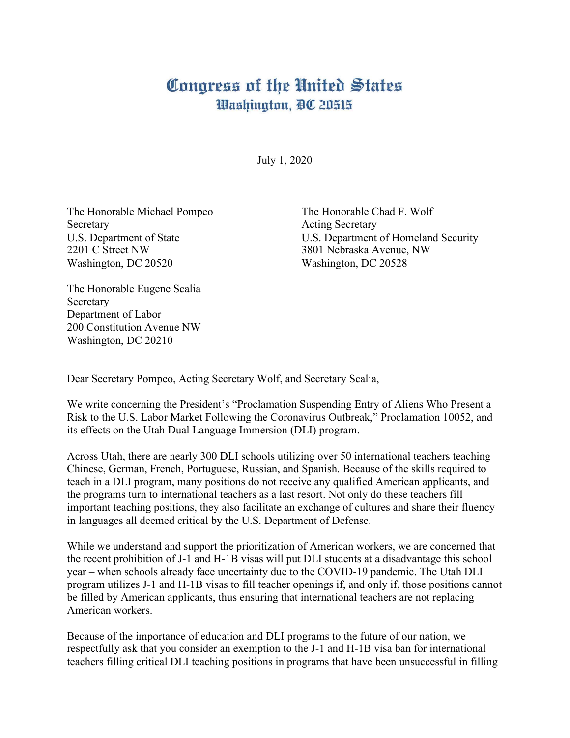## Congress of the United States Washington, DC 20515

July 1, 2020

The Honorable Michael Pompeo The Honorable Chad F. Wolf Secretary Acting Secretary 2201 C Street NW 3801 Nebraska Avenue, NW Washington, DC 20520 Washington, DC 20528

U.S. Department of State U.S. Department of Homeland Security

The Honorable Eugene Scalia Secretary Department of Labor 200 Constitution Avenue NW Washington, DC 20210

Dear Secretary Pompeo, Acting Secretary Wolf, and Secretary Scalia,

We write concerning the President's "Proclamation Suspending Entry of Aliens Who Present a Risk to the U.S. Labor Market Following the Coronavirus Outbreak," Proclamation 10052, and its effects on the Utah Dual Language Immersion (DLI) program.

Across Utah, there are nearly 300 DLI schools utilizing over 50 international teachers teaching Chinese, German, French, Portuguese, Russian, and Spanish. Because of the skills required to teach in a DLI program, many positions do not receive any qualified American applicants, and the programs turn to international teachers as a last resort. Not only do these teachers fill important teaching positions, they also facilitate an exchange of cultures and share their fluency in languages all deemed critical by the U.S. Department of Defense.

While we understand and support the prioritization of American workers, we are concerned that the recent prohibition of J-1 and H-1B visas will put DLI students at a disadvantage this school year – when schools already face uncertainty due to the COVID-19 pandemic. The Utah DLI program utilizes J-1 and H-1B visas to fill teacher openings if, and only if, those positions cannot be filled by American applicants, thus ensuring that international teachers are not replacing American workers.

Because of the importance of education and DLI programs to the future of our nation, we respectfully ask that you consider an exemption to the J-1 and H-1B visa ban for international teachers filling critical DLI teaching positions in programs that have been unsuccessful in filling